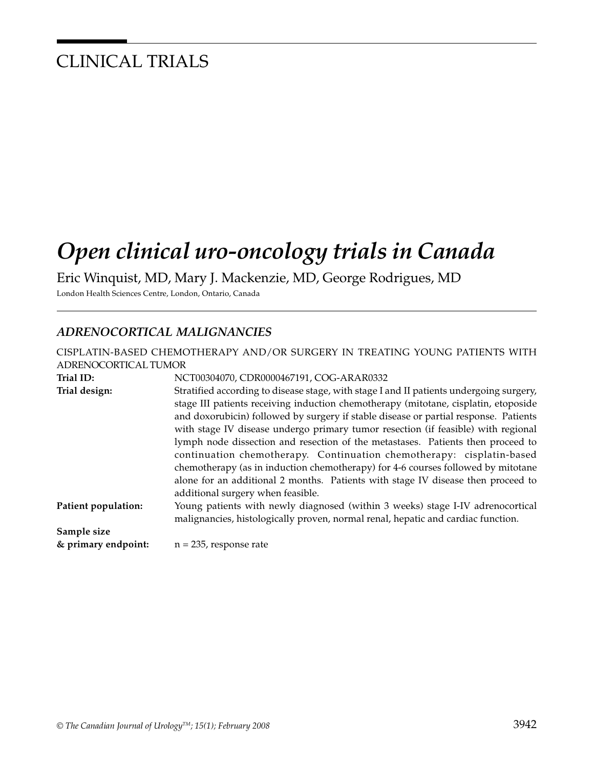## CLINICAL TRIALS

# *Open clinical uro-oncology trials in Canada*

Eric Winquist, MD, Mary J. Mackenzie, MD, George Rodrigues, MD

London Health Sciences Centre, London, Ontario, Canada

### *ADRENOCORTICAL MALIGNANCIES*

| ADRENOCORTICAL TUMOR | CISPLATIN-BASED CHEMOTHERAPY AND/OR SURGERY IN TREATING YOUNG PATIENTS WITH                                                                                                                                                                                                                                                                                                                                                                                                                                                                                                                                                                                                                                                          |
|----------------------|--------------------------------------------------------------------------------------------------------------------------------------------------------------------------------------------------------------------------------------------------------------------------------------------------------------------------------------------------------------------------------------------------------------------------------------------------------------------------------------------------------------------------------------------------------------------------------------------------------------------------------------------------------------------------------------------------------------------------------------|
| Trial ID:            | NCT00304070, CDR0000467191, COG-ARAR0332                                                                                                                                                                                                                                                                                                                                                                                                                                                                                                                                                                                                                                                                                             |
| Trial design:        | Stratified according to disease stage, with stage I and II patients undergoing surgery,<br>stage III patients receiving induction chemotherapy (mitotane, cisplatin, etoposide<br>and doxorubicin) followed by surgery if stable disease or partial response. Patients<br>with stage IV disease undergo primary tumor resection (if feasible) with regional<br>lymph node dissection and resection of the metastases. Patients then proceed to<br>continuation chemotherapy. Continuation chemotherapy: cisplatin-based<br>chemotherapy (as in induction chemotherapy) for 4-6 courses followed by mitotane<br>alone for an additional 2 months. Patients with stage IV disease then proceed to<br>additional surgery when feasible. |
| Patient population:  | Young patients with newly diagnosed (within 3 weeks) stage I-IV adrenocortical<br>malignancies, histologically proven, normal renal, hepatic and cardiac function.                                                                                                                                                                                                                                                                                                                                                                                                                                                                                                                                                                   |
| Sample size          |                                                                                                                                                                                                                                                                                                                                                                                                                                                                                                                                                                                                                                                                                                                                      |
| & primary endpoint:  | $n = 235$ , response rate                                                                                                                                                                                                                                                                                                                                                                                                                                                                                                                                                                                                                                                                                                            |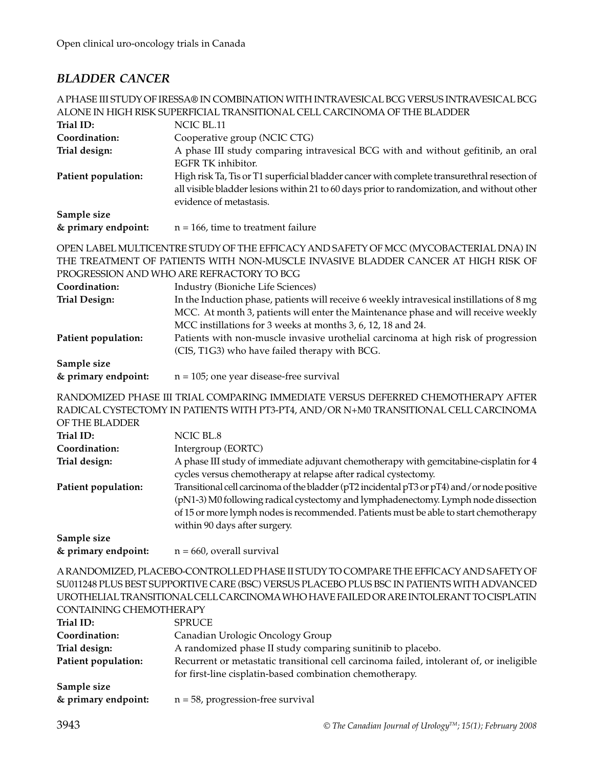### *BLADDER CANCER*

|                                                                                               | A PHASE III STUDY OF IRESSA® IN COMBINATION WITH INTRAVESICAL BCG VERSUS INTRAVESICAL BCG<br>ALONE IN HIGH RISK SUPERFICIAL TRANSITIONAL CELL CARCINOMA OF THE BLADDER                                                                                                                                                                                                                                                                                                                                                                                   |
|-----------------------------------------------------------------------------------------------|----------------------------------------------------------------------------------------------------------------------------------------------------------------------------------------------------------------------------------------------------------------------------------------------------------------------------------------------------------------------------------------------------------------------------------------------------------------------------------------------------------------------------------------------------------|
| Trial ID:                                                                                     | NCIC BL.11                                                                                                                                                                                                                                                                                                                                                                                                                                                                                                                                               |
| Coordination:                                                                                 | Cooperative group (NCIC CTG)                                                                                                                                                                                                                                                                                                                                                                                                                                                                                                                             |
|                                                                                               |                                                                                                                                                                                                                                                                                                                                                                                                                                                                                                                                                          |
| Trial design:                                                                                 | A phase III study comparing intravesical BCG with and without gefitinib, an oral<br>EGFR TK inhibitor.                                                                                                                                                                                                                                                                                                                                                                                                                                                   |
| Patient population:                                                                           | High risk Ta, Tis or T1 superficial bladder cancer with complete transurethral resection of<br>all visible bladder lesions within 21 to 60 days prior to randomization, and without other<br>evidence of metastasis.                                                                                                                                                                                                                                                                                                                                     |
| Sample size                                                                                   |                                                                                                                                                                                                                                                                                                                                                                                                                                                                                                                                                          |
| & primary endpoint:                                                                           | $n = 166$ , time to treatment failure                                                                                                                                                                                                                                                                                                                                                                                                                                                                                                                    |
|                                                                                               | OPEN LABEL MULTICENTRE STUDY OF THE EFFICACY AND SAFETY OF MCC (MYCOBACTERIAL DNA) IN<br>THE TREATMENT OF PATIENTS WITH NON-MUSCLE INVASIVE BLADDER CANCER AT HIGH RISK OF                                                                                                                                                                                                                                                                                                                                                                               |
|                                                                                               | PROGRESSION AND WHO ARE REFRACTORY TO BCG                                                                                                                                                                                                                                                                                                                                                                                                                                                                                                                |
| Coordination:                                                                                 | Industry (Bioniche Life Sciences)                                                                                                                                                                                                                                                                                                                                                                                                                                                                                                                        |
| <b>Trial Design:</b>                                                                          | In the Induction phase, patients will receive 6 weekly intravesical instillations of 8 mg<br>MCC. At month 3, patients will enter the Maintenance phase and will receive weekly<br>MCC instillations for 3 weeks at months 3, 6, 12, 18 and 24.                                                                                                                                                                                                                                                                                                          |
| Patient population:                                                                           | Patients with non-muscle invasive urothelial carcinoma at high risk of progression                                                                                                                                                                                                                                                                                                                                                                                                                                                                       |
|                                                                                               | (CIS, T1G3) who have failed therapy with BCG.                                                                                                                                                                                                                                                                                                                                                                                                                                                                                                            |
| Sample size                                                                                   |                                                                                                                                                                                                                                                                                                                                                                                                                                                                                                                                                          |
| & primary endpoint:                                                                           | $n = 105$ ; one year disease-free survival                                                                                                                                                                                                                                                                                                                                                                                                                                                                                                               |
|                                                                                               | RANDOMIZED PHASE III TRIAL COMPARING IMMEDIATE VERSUS DEFERRED CHEMOTHERAPY AFTER                                                                                                                                                                                                                                                                                                                                                                                                                                                                        |
|                                                                                               | RADICAL CYSTECTOMY IN PATIENTS WITH PT3-PT4, AND/OR N+M0 TRANSITIONAL CELL CARCINOMA                                                                                                                                                                                                                                                                                                                                                                                                                                                                     |
| OF THE BLADDER                                                                                |                                                                                                                                                                                                                                                                                                                                                                                                                                                                                                                                                          |
| Trial ID:                                                                                     | NCIC BL.8                                                                                                                                                                                                                                                                                                                                                                                                                                                                                                                                                |
| Coordination:                                                                                 | Intergroup (EORTC)                                                                                                                                                                                                                                                                                                                                                                                                                                                                                                                                       |
| Trial design:                                                                                 | A phase III study of immediate adjuvant chemotherapy with gemcitabine-cisplatin for 4                                                                                                                                                                                                                                                                                                                                                                                                                                                                    |
| Patient population:                                                                           | cycles versus chemotherapy at relapse after radical cystectomy.<br>Transitional cell carcinoma of the bladder (pT2 incidental pT3 or pT4) and/or node positive<br>(pN1-3) M0 following radical cystectomy and lymphadenectomy. Lymph node dissection<br>of 15 or more lymph nodes is recommended. Patients must be able to start chemotherapy<br>within 90 days after surgery.                                                                                                                                                                           |
| Sample size                                                                                   |                                                                                                                                                                                                                                                                                                                                                                                                                                                                                                                                                          |
| & primary endpoint:                                                                           | $n = 660$ , overall survival                                                                                                                                                                                                                                                                                                                                                                                                                                                                                                                             |
| CONTAINING CHEMOTHERAPY<br>Trial ID:<br>Coordination:<br>Trial design:<br>Patient population: | A RANDOMIZED, PLACEBO-CONTROLLED PHASE II STUDY TO COMPARE THE EFFICACY AND SAFETY OF<br>SU011248 PLUS BEST SUPPORTIVE CARE (BSC) VERSUS PLACEBO PLUS BSC IN PATIENTS WITH ADVANCED<br>UROTHELIAL TRANSITIONAL CELL CARCINOMA WHO HAVE FAILED OR ARE INTOLERANT TO CISPLATIN<br><b>SPRUCE</b><br>Canadian Urologic Oncology Group<br>A randomized phase II study comparing sunitinib to placebo.<br>Recurrent or metastatic transitional cell carcinoma failed, intolerant of, or ineligible<br>for first-line cisplatin-based combination chemotherapy. |
| Sample size                                                                                   |                                                                                                                                                                                                                                                                                                                                                                                                                                                                                                                                                          |
| & primary endpoint:                                                                           | $n = 58$ , progression-free survival                                                                                                                                                                                                                                                                                                                                                                                                                                                                                                                     |
| 20.42                                                                                         |                                                                                                                                                                                                                                                                                                                                                                                                                                                                                                                                                          |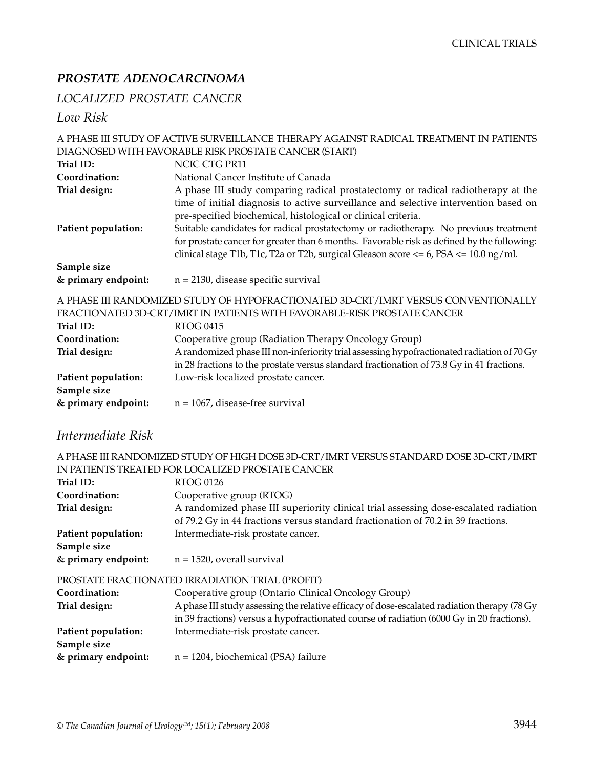### *PROSTATE ADENOCARCINOMA*

### *LOCALIZED PROSTATE CANCER*

*Low Risk*

|                                                                                    | A PHASE III STUDY OF ACTIVE SURVEILLANCE THERAPY AGAINST RADICAL TREATMENT IN PATIENTS                                                                                                                                                                                                                                                                                                                                                        |
|------------------------------------------------------------------------------------|-----------------------------------------------------------------------------------------------------------------------------------------------------------------------------------------------------------------------------------------------------------------------------------------------------------------------------------------------------------------------------------------------------------------------------------------------|
|                                                                                    | DIAGNOSED WITH FAVORABLE RISK PROSTATE CANCER (START)                                                                                                                                                                                                                                                                                                                                                                                         |
| Trial ID:                                                                          | NCIC CTG PR11                                                                                                                                                                                                                                                                                                                                                                                                                                 |
| Coordination:                                                                      | National Cancer Institute of Canada                                                                                                                                                                                                                                                                                                                                                                                                           |
| Trial design:                                                                      | A phase III study comparing radical prostatectomy or radical radiotherapy at the                                                                                                                                                                                                                                                                                                                                                              |
| Patient population:                                                                | time of initial diagnosis to active surveillance and selective intervention based on<br>pre-specified biochemical, histological or clinical criteria.<br>Suitable candidates for radical prostatectomy or radiotherapy. No previous treatment<br>for prostate cancer for greater than 6 months. Favorable risk as defined by the following:<br>clinical stage T1b, T1c, T2a or T2b, surgical Gleason score $\lt$ = 6, PSA $\lt$ = 10.0 ng/ml. |
| Sample size<br>& primary endpoint:                                                 | $n = 2130$ , disease specific survival                                                                                                                                                                                                                                                                                                                                                                                                        |
| A PHASE III RANDOMIZED STUDY OF HYPOFRACTIONATED 3D-CRT/IMRT VERSUS CONVENTIONALLY |                                                                                                                                                                                                                                                                                                                                                                                                                                               |

|                     | FRACTIONATED 3D-CRT/IMRT IN PATIENTS WITH FAVORABLE-RISK PROSTATE CANCER                   |
|---------------------|--------------------------------------------------------------------------------------------|
| Trial ID:           | RTOG 0415                                                                                  |
| Coordination:       | Cooperative group (Radiation Therapy Oncology Group)                                       |
| Trial design:       | A randomized phase III non-inferiority trial assessing hypofractionated radiation of 70 Gy |
|                     | in 28 fractions to the prostate versus standard fractionation of 73.8 Gy in 41 fractions.  |
| Patient population: | Low-risk localized prostate cancer.                                                        |
| Sample size         |                                                                                            |
| & primary endpoint: | $n = 1067$ , disease-free survival                                                         |
|                     |                                                                                            |

### *Intermediate Risk*

| A PHASE III RANDOMIZED STUDY OF HIGH DOSE 3D-CRT/IMRT VERSUS STANDARD DOSE 3D-CRT/IMRT |  |
|----------------------------------------------------------------------------------------|--|
| IN PATIENTS TREATED FOR LOCALIZED PROSTATE CANCER                                      |  |

| Trial ID:           | <b>RTOG 0126</b>                                                                             |
|---------------------|----------------------------------------------------------------------------------------------|
| Coordination:       | Cooperative group (RTOG)                                                                     |
| Trial design:       | A randomized phase III superiority clinical trial assessing dose-escalated radiation         |
|                     | of 79.2 Gy in 44 fractions versus standard fractionation of 70.2 in 39 fractions.            |
| Patient population: | Intermediate-risk prostate cancer.                                                           |
| Sample size         |                                                                                              |
| & primary endpoint: | $n = 1520$ , overall survival                                                                |
|                     | PROSTATE FRACTIONATED IRRADIATION TRIAL (PROFIT)                                             |
| Coordination:       | Cooperative group (Ontario Clinical Oncology Group)                                          |
| Trial design:       | A phase III study assessing the relative efficacy of dose-escalated radiation therapy (78 Gy |
|                     | in 39 fractions) versus a hypofractionated course of radiation (6000 Gy in 20 fractions).    |
| Patient population: | Intermediate-risk prostate cancer.                                                           |
| Sample size         |                                                                                              |
| & primary endpoint: | $n = 1204$ , biochemical (PSA) failure                                                       |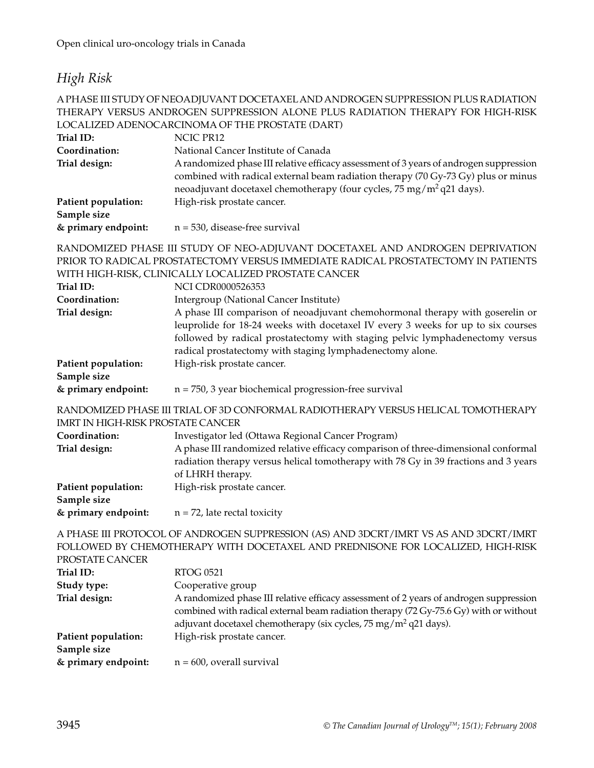### *High Risk*

#### A PHASE III STUDY OF NEOADJUVANT DOCETAXEL AND ANDROGEN SUPPRESSION PLUS RADIATION THERAPY VERSUS ANDROGEN SUPPRESSION ALONE PLUS RADIATION THERAPY FOR HIGH-RISK LOCALIZED ADENOCARCINOMA OF THE PROSTATE (DART)

|                                          | LOCALIZED ADENOCARCINOMA OF THE PROSTATE (DART)                                                                                                                                                                                                                                                                |
|------------------------------------------|----------------------------------------------------------------------------------------------------------------------------------------------------------------------------------------------------------------------------------------------------------------------------------------------------------------|
| Trial ID:                                | NCIC PR12                                                                                                                                                                                                                                                                                                      |
| Coordination:                            | National Cancer Institute of Canada                                                                                                                                                                                                                                                                            |
| Trial design:                            | A randomized phase III relative efficacy assessment of 3 years of androgen suppression<br>combined with radical external beam radiation therapy (70 Gy-73 Gy) plus or minus<br>neoadjuvant docetaxel chemotherapy (four cycles, 75 mg/m <sup>2</sup> q21 days).                                                |
| Patient population:                      | High-risk prostate cancer.                                                                                                                                                                                                                                                                                     |
| Sample size                              |                                                                                                                                                                                                                                                                                                                |
| & primary endpoint:                      | $n = 530$ , disease-free survival                                                                                                                                                                                                                                                                              |
|                                          | RANDOMIZED PHASE III STUDY OF NEO-ADJUVANT DOCETAXEL AND ANDROGEN DEPRIVATION<br>PRIOR TO RADICAL PROSTATECTOMY VERSUS IMMEDIATE RADICAL PROSTATECTOMY IN PATIENTS                                                                                                                                             |
|                                          | WITH HIGH-RISK, CLINICALLY LOCALIZED PROSTATE CANCER                                                                                                                                                                                                                                                           |
| Trial ID:                                | <b>NCI CDR0000526353</b>                                                                                                                                                                                                                                                                                       |
| Coordination:                            | Intergroup (National Cancer Institute)                                                                                                                                                                                                                                                                         |
| Trial design:                            | A phase III comparison of neoadjuvant chemohormonal therapy with goserelin or<br>leuprolide for 18-24 weeks with docetaxel IV every 3 weeks for up to six courses<br>followed by radical prostatectomy with staging pelvic lymphadenectomy versus<br>radical prostatectomy with staging lymphadenectomy alone. |
| Patient population:                      | High-risk prostate cancer.                                                                                                                                                                                                                                                                                     |
| Sample size                              |                                                                                                                                                                                                                                                                                                                |
| & primary endpoint:                      | $n = 750$ , 3 year biochemical progression-free survival                                                                                                                                                                                                                                                       |
| <b>IMRT IN HIGH-RISK PROSTATE CANCER</b> | RANDOMIZED PHASE III TRIAL OF 3D CONFORMAL RADIOTHERAPY VERSUS HELICAL TOMOTHERAPY                                                                                                                                                                                                                             |
| Coordination:                            | Investigator led (Ottawa Regional Cancer Program)                                                                                                                                                                                                                                                              |
| m · 1 1 ·                                |                                                                                                                                                                                                                                                                                                                |

| Trial design:       | A phase III randomized relative efficacy comparison of three-dimensional conformal  |
|---------------------|-------------------------------------------------------------------------------------|
|                     | radiation therapy versus helical tomotherapy with 78 Gy in 39 fractions and 3 years |
|                     | of LHRH therapy.                                                                    |
| Patient population: | High-risk prostate cancer.                                                          |
| Sample size         |                                                                                     |

#### **& primary endpoint:** n = 72, late rectal toxicity

A PHASE III PROTOCOL OF ANDROGEN SUPPRESSION (AS) AND 3DCRT/IMRT VS AS AND 3DCRT/IMRT FOLLOWED BY CHEMOTHERAPY WITH DOCETAXEL AND PREDNISONE FOR LOCALIZED, HIGH-RISK PROSTATE CANCER

| <b>RTOG 0521</b>                                                                                                                                                                                                                                               |
|----------------------------------------------------------------------------------------------------------------------------------------------------------------------------------------------------------------------------------------------------------------|
| Cooperative group                                                                                                                                                                                                                                              |
| A randomized phase III relative efficacy assessment of 2 years of androgen suppression<br>combined with radical external beam radiation therapy (72 Gy-75.6 Gy) with or without<br>adjuvant docetaxel chemotherapy (six cycles, $75 \text{ mg/m}^2$ q21 days). |
| High-risk prostate cancer.                                                                                                                                                                                                                                     |
| $n = 600$ , overall survival                                                                                                                                                                                                                                   |
|                                                                                                                                                                                                                                                                |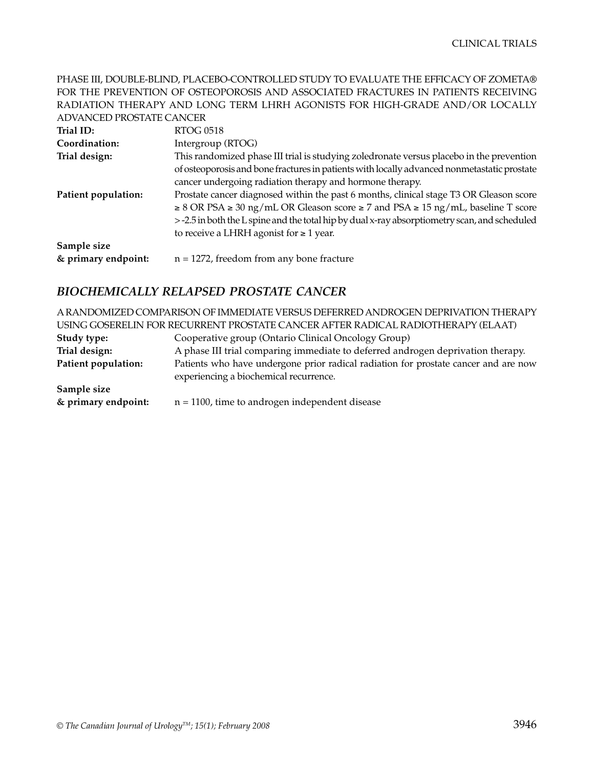PHASE III, DOUBLE-BLIND, PLACEBO-CONTROLLED STUDY TO EVALUATE THE EFFICACY OF ZOMETA® FOR THE PREVENTION OF OSTEOPOROSIS AND ASSOCIATED FRACTURES IN PATIENTS RECEIVING RADIATION THERAPY AND LONG TERM LHRH AGONISTS FOR HIGH-GRADE AND/OR LOCALLY ADVANCED PROSTATE CANCER

| Trial ID:           | RTOG 0518                                                                                           |
|---------------------|-----------------------------------------------------------------------------------------------------|
| Coordination:       | Intergroup (RTOG)                                                                                   |
| Trial design:       | This randomized phase III trial is studying zoledronate versus placebo in the prevention            |
|                     | of osteoporosis and bone fractures in patients with locally advanced nonmetastatic prostate         |
|                     | cancer undergoing radiation therapy and hormone therapy.                                            |
| Patient population: | Prostate cancer diagnosed within the past 6 months, clinical stage T3 OR Gleason score              |
|                     | $\geq$ 8 OR PSA $\geq$ 30 ng/mL OR Gleason score $\geq$ 7 and PSA $\geq$ 15 ng/mL, baseline T score |
|                     | > -2.5 in both the L spine and the total hip by dual x-ray absorptiometry scan, and scheduled       |
|                     | to receive a LHRH agonist for $\geq 1$ year.                                                        |
| Sample size         |                                                                                                     |
| & primary endpoint: | $n = 1272$ , freedom from any bone fracture                                                         |

### *BIOCHEMICALLY RELAPSED PROSTATE CANCER*

A RANDOMIZED COMPARISON OF IMMEDIATE VERSUS DEFERRED ANDROGEN DEPRIVATION THERAPY USING GOSERELIN FOR RECURRENT PROSTATE CANCER AFTER RADICAL RADIOTHERAPY (ELAAT)

| Study type:         | Cooperative group (Ontario Clinical Oncology Group)                                                                           |
|---------------------|-------------------------------------------------------------------------------------------------------------------------------|
| Trial design:       | A phase III trial comparing immediate to deferred androgen deprivation therapy.                                               |
| Patient population: | Patients who have undergone prior radical radiation for prostate cancer and are now<br>experiencing a biochemical recurrence. |
| Sample size         |                                                                                                                               |
| & primary endpoint: | $n = 1100$ , time to androgen independent disease                                                                             |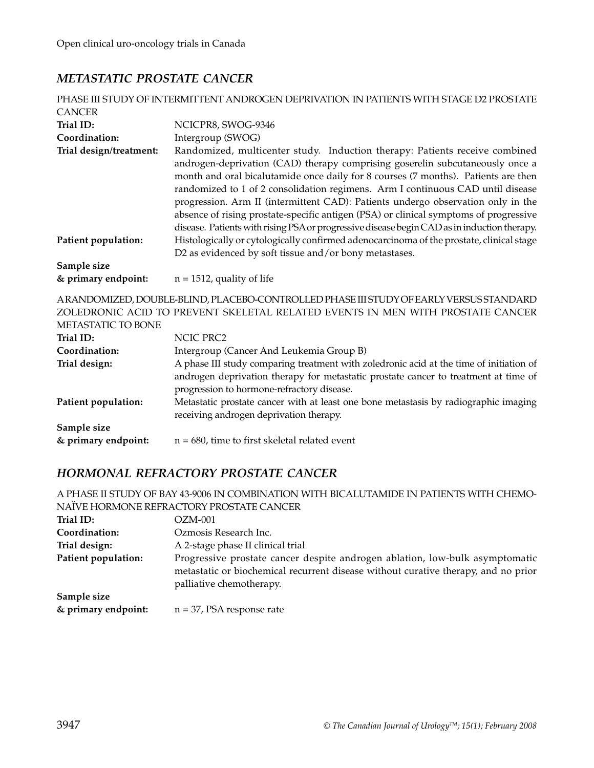### *METASTATIC PROSTATE CANCER*

|                         | PHASE III STUDY OF INTERMITTENT ANDROGEN DEPRIVATION IN PATIENTS WITH STAGE D2 PROSTATE                                                                                                                                                                                                                                                                                                                                                                                                                                                                                                                           |
|-------------------------|-------------------------------------------------------------------------------------------------------------------------------------------------------------------------------------------------------------------------------------------------------------------------------------------------------------------------------------------------------------------------------------------------------------------------------------------------------------------------------------------------------------------------------------------------------------------------------------------------------------------|
| <b>CANCER</b>           |                                                                                                                                                                                                                                                                                                                                                                                                                                                                                                                                                                                                                   |
| Trial ID:               | NCICPR8, SWOG-9346                                                                                                                                                                                                                                                                                                                                                                                                                                                                                                                                                                                                |
| Coordination:           | Intergroup (SWOG)                                                                                                                                                                                                                                                                                                                                                                                                                                                                                                                                                                                                 |
| Trial design/treatment: | Randomized, multicenter study. Induction therapy: Patients receive combined<br>androgen-deprivation (CAD) therapy comprising goserelin subcutaneously once a<br>month and oral bicalutamide once daily for 8 courses (7 months). Patients are then<br>randomized to 1 of 2 consolidation regimens. Arm I continuous CAD until disease<br>progression. Arm II (intermittent CAD): Patients undergo observation only in the<br>absence of rising prostate-specific antigen (PSA) or clinical symptoms of progressive<br>disease. Patients with rising PSA or progressive disease begin CAD as in induction therapy. |
| Patient population:     | Histologically or cytologically confirmed adenocarcinoma of the prostate, clinical stage<br>D2 as evidenced by soft tissue and/or bony metastases.                                                                                                                                                                                                                                                                                                                                                                                                                                                                |
| Sample size             |                                                                                                                                                                                                                                                                                                                                                                                                                                                                                                                                                                                                                   |
| & primary endpoint:     | $n = 1512$ , quality of life                                                                                                                                                                                                                                                                                                                                                                                                                                                                                                                                                                                      |
| METASTATIC TO BONE      | ARANDOMIZED, DOUBLE-BLIND, PLACEBO-CONTROLLED PHASE III STUDY OF EARLY VERSUS STANDARD<br>ZOLEDRONIC ACID TO PREVENT SKELETAL RELATED EVENTS IN MEN WITH PROSTATE CANCER                                                                                                                                                                                                                                                                                                                                                                                                                                          |
| Trial ID:               | NCIC PRC2                                                                                                                                                                                                                                                                                                                                                                                                                                                                                                                                                                                                         |
| Coordination:           | Intergroup (Cancer And Leukemia Group B)                                                                                                                                                                                                                                                                                                                                                                                                                                                                                                                                                                          |
| Trial design:           | A phase III study comparing treatment with zoledronic acid at the time of initiation of<br>androgen deprivation therapy for metastatic prostate cancer to treatment at time of<br>progression to hormone-refractory disease.                                                                                                                                                                                                                                                                                                                                                                                      |
| Patient population:     | Metastatic prostate cancer with at least one bone metastasis by radiographic imaging<br>receiving androgen deprivation therapy.                                                                                                                                                                                                                                                                                                                                                                                                                                                                                   |
| Sample size             |                                                                                                                                                                                                                                                                                                                                                                                                                                                                                                                                                                                                                   |
| & primary endpoint:     | $n = 680$ , time to first skeletal related event                                                                                                                                                                                                                                                                                                                                                                                                                                                                                                                                                                  |

### *HORMONAL REFRACTORY PROSTATE CANCER*

A PHASE II STUDY OF BAY 43-9006 IN COMBINATION WITH BICALUTAMIDE IN PATIENTS WITH CHEMO-NAÏVE HORMONE REFRACTORY PROSTATE CANCER

| Trial ID:                          | OZM-001                                                                                                                                                                                        |
|------------------------------------|------------------------------------------------------------------------------------------------------------------------------------------------------------------------------------------------|
| Coordination:                      | Ozmosis Research Inc.                                                                                                                                                                          |
| Trial design:                      | A 2-stage phase II clinical trial                                                                                                                                                              |
| Patient population:                | Progressive prostate cancer despite androgen ablation, low-bulk asymptomatic<br>metastatic or biochemical recurrent disease without curative therapy, and no prior<br>palliative chemotherapy. |
| Sample size<br>& primary endpoint: | $n = 37$ , PSA response rate                                                                                                                                                                   |
|                                    |                                                                                                                                                                                                |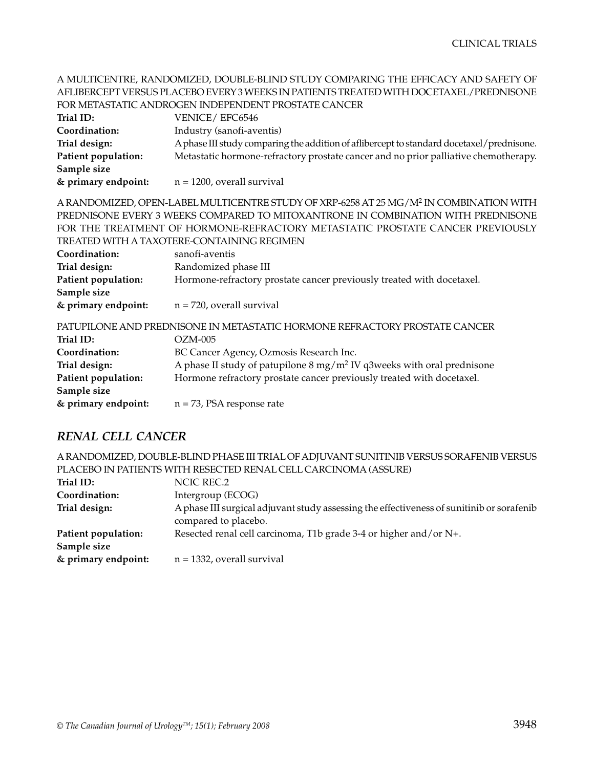A MULTICENTRE, RANDOMIZED, DOUBLE-BLIND STUDY COMPARING THE EFFICACY AND SAFETY OF AFLIBERCEPT VERSUS PLACEBO EVERY 3 WEEKS IN PATIENTS TREATED WITH DOCETAXEL/PREDNISONE FOR METASTATIC ANDROGEN INDEPENDENT PROSTATE CANCER Trial ID: VENICE/ EFC6546 **Coordination:** Industry (sanofi-aventis) **Trial design:** A phase III study comparing the addition of aflibercept to standard docetaxel/prednisone. **Patient population:** Metastatic hormone-refractory prostate cancer and no prior palliative chemotherapy. **Sample size & primary endpoint:** n = 1200, overall survival A RANDOMIZED, OPEN-LABEL MULTICENTRE STUDY OF XRP-6258 AT 25 MG/M2 IN COMBINATION WITH PREDNISONE EVERY 3 WEEKS COMPARED TO MITOXANTRONE IN COMBINATION WITH PREDNISONE FOR THE TREATMENT OF HORMONE-REFRACTORY METASTATIC PROSTATE CANCER PREVIOUSLY TREATED WITH A TAXOTERE-CONTAINING REGIMEN **Coordination:** sanofi-aventis **Trial design:** Randomized phase III **Patient population:** Hormone-refractory prostate cancer previously treated with docetaxel. **Sample size & primary endpoint:** n = 720, overall survival PATUPILONE AND PREDNISONE IN METASTATIC HORMONE REFRACTORY PROSTATE CANCER **Trial ID:** OZM-005 **Coordination:** BC Cancer Agency, Ozmosis Research Inc. **Trial design:** A phase II study of patupilone 8 mg/m<sup>2</sup> IV q3weeks with oral prednisone **Patient population:** Hormone refractory prostate cancer previously treated with docetaxel. **Sample size & primary endpoint:** n = 73, PSA response rate

#### *RENAL CELL CANCER*

|                     | A RANDOMIZED, DOUBLE-BLIND PHASE III TRIAL OF ADJUVANT SUNITINIB VERSUS SORAFENIB VERSUS  |
|---------------------|-------------------------------------------------------------------------------------------|
|                     | PLACEBO IN PATIENTS WITH RESECTED RENAL CELL CARCINOMA (ASSURE)                           |
| Trial ID:           | NCIC REC.2                                                                                |
| Coordination:       | Intergroup (ECOG)                                                                         |
| Trial design:       | A phase III surgical adjuvant study assessing the effectiveness of sunitinib or sorafenib |
|                     | compared to placebo.                                                                      |
| Patient population: | Resected renal cell carcinoma, T1b grade 3-4 or higher and/or N+.                         |
| Sample size         |                                                                                           |
| & primary endpoint: | $n = 1332$ , overall survival                                                             |